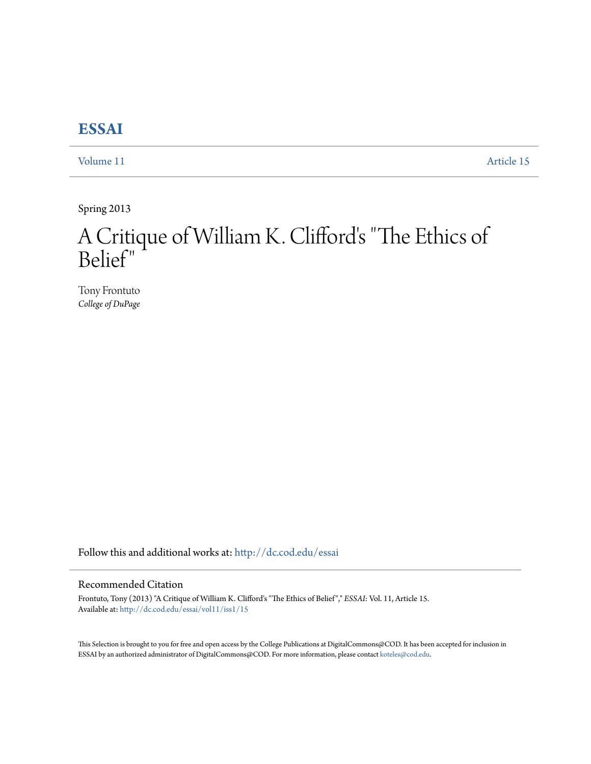## **[ESSAI](http://dc.cod.edu/essai?utm_source=dc.cod.edu%2Fessai%2Fvol11%2Fiss1%2F15&utm_medium=PDF&utm_campaign=PDFCoverPages)**

[Volume 11](http://dc.cod.edu/essai/vol11?utm_source=dc.cod.edu%2Fessai%2Fvol11%2Fiss1%2F15&utm_medium=PDF&utm_campaign=PDFCoverPages) [Article 15](http://dc.cod.edu/essai/vol11/iss1/15?utm_source=dc.cod.edu%2Fessai%2Fvol11%2Fiss1%2F15&utm_medium=PDF&utm_campaign=PDFCoverPages)

Spring 2013

## A Critique of William K. Clifford's "The Ethics of Belief"

Tony Frontuto *College of DuPage*

Follow this and additional works at: [http://dc.cod.edu/essai](http://dc.cod.edu/essai?utm_source=dc.cod.edu%2Fessai%2Fvol11%2Fiss1%2F15&utm_medium=PDF&utm_campaign=PDFCoverPages)

## Recommended Citation

Frontuto, Tony (2013) "A Critique of William K. Clifford's "The Ethics of Belief"," *ESSAI*: Vol. 11, Article 15. Available at: [http://dc.cod.edu/essai/vol11/iss1/15](http://dc.cod.edu/essai/vol11/iss1/15?utm_source=dc.cod.edu%2Fessai%2Fvol11%2Fiss1%2F15&utm_medium=PDF&utm_campaign=PDFCoverPages)

This Selection is brought to you for free and open access by the College Publications at DigitalCommons@COD. It has been accepted for inclusion in ESSAI by an authorized administrator of DigitalCommons@COD. For more information, please contact [koteles@cod.edu](mailto:koteles@cod.edu).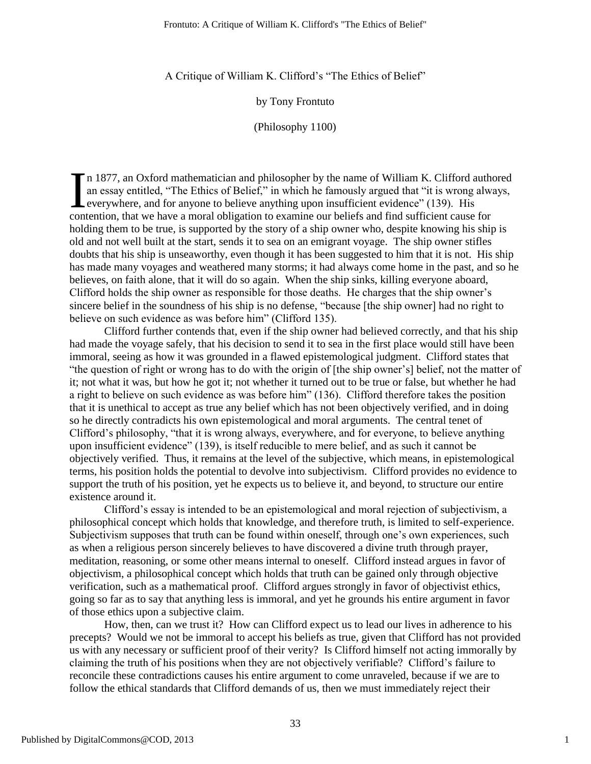A Critique of William K. Clifford's "The Ethics of Belief"

by Tony Frontuto

(Philosophy 1100)

n 1877, an Oxford mathematician and philosopher by the name of William K. Clifford authored an essay entitled, "The Ethics of Belief," in which he famously argued that "it is wrong always, everywhere, and for anyone to believe anything upon insufficient evidence" (139). His contention, that we have a moral obligation to examine our beliefs and find sufficient cause for holding them to be true, is supported by the story of a ship owner who, despite knowing his ship is old and not well built at the start, sends it to sea on an emigrant voyage. The ship owner stifles doubts that his ship is unseaworthy, even though it has been suggested to him that it is not. His ship has made many voyages and weathered many storms; it had always come home in the past, and so he believes, on faith alone, that it will do so again. When the ship sinks, killing everyone aboard, Clifford holds the ship owner as responsible for those deaths. He charges that the ship owner's sincere belief in the soundness of his ship is no defense, "because [the ship owner] had no right to believe on such evidence as was before him" (Clifford 135). I

Clifford further contends that, even if the ship owner had believed correctly, and that his ship had made the voyage safely, that his decision to send it to sea in the first place would still have been immoral, seeing as how it was grounded in a flawed epistemological judgment. Clifford states that ―the question of right or wrong has to do with the origin of [the ship owner's] belief, not the matter of it; not what it was, but how he got it; not whether it turned out to be true or false, but whether he had a right to believe on such evidence as was before him" (136). Clifford therefore takes the position that it is unethical to accept as true any belief which has not been objectively verified, and in doing so he directly contradicts his own epistemological and moral arguments. The central tenet of Clifford's philosophy, "that it is wrong always, everywhere, and for everyone, to believe anything upon insufficient evidence" (139), is itself reducible to mere belief, and as such it cannot be objectively verified. Thus, it remains at the level of the subjective, which means, in epistemological terms, his position holds the potential to devolve into subjectivism. Clifford provides no evidence to support the truth of his position, yet he expects us to believe it, and beyond, to structure our entire existence around it.

Clifford's essay is intended to be an epistemological and moral rejection of subjectivism, a philosophical concept which holds that knowledge, and therefore truth, is limited to self-experience. Subjectivism supposes that truth can be found within oneself, through one's own experiences, such as when a religious person sincerely believes to have discovered a divine truth through prayer, meditation, reasoning, or some other means internal to oneself. Clifford instead argues in favor of objectivism, a philosophical concept which holds that truth can be gained only through objective verification, such as a mathematical proof. Clifford argues strongly in favor of objectivist ethics, going so far as to say that anything less is immoral, and yet he grounds his entire argument in favor of those ethics upon a subjective claim.

How, then, can we trust it? How can Clifford expect us to lead our lives in adherence to his precepts? Would we not be immoral to accept his beliefs as true, given that Clifford has not provided us with any necessary or sufficient proof of their verity? Is Clifford himself not acting immorally by claiming the truth of his positions when they are not objectively verifiable? Clifford's failure to reconcile these contradictions causes his entire argument to come unraveled, because if we are to follow the ethical standards that Clifford demands of us, then we must immediately reject their

1